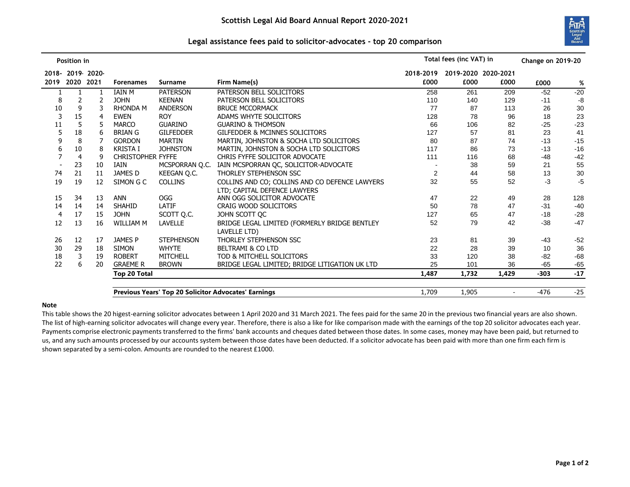

## **Legal assistance fees paid to solicitor-advocates - top 20 comparison**

|                                                             | Position in |           |                          |                   |                                                | Total fees (inc VAT) in |                     |        | <b>Change on 2019-20</b> |       |
|-------------------------------------------------------------|-------------|-----------|--------------------------|-------------------|------------------------------------------------|-------------------------|---------------------|--------|--------------------------|-------|
| 2018-                                                       |             | 2019 2020 |                          |                   |                                                | 2018-2019               | 2019-2020 2020-2021 |        |                          |       |
| 2019                                                        | 2020 2021   |           | <b>Forenames</b>         | <b>Surname</b>    | Firm Name(s)                                   | £000                    | £000                | £000   | £000                     | %     |
|                                                             |             |           | <b>IAIN M</b>            | <b>PATERSON</b>   | PATERSON BELL SOLICITORS                       | 258                     | 261                 | 209    | $-52$                    | $-20$ |
| 8                                                           |             | 2         | <b>JOHN</b>              | <b>KEENAN</b>     | PATERSON BELL SOLICITORS                       | 110                     | 140                 | 129    | $-11$                    | -8    |
| 10                                                          | 9           | 3         | <b>RHONDA M</b>          | <b>ANDERSON</b>   | <b>BRUCE MCCORMACK</b>                         | 77                      | 87                  | 113    | 26                       | 30    |
| 3                                                           | 15          | 4         | <b>EWEN</b>              | <b>ROY</b>        | ADAMS WHYTE SOLICITORS                         | 128                     | 78                  | 96     | 18                       | 23    |
| 11                                                          | 5           | 5         | <b>MARCO</b>             | <b>GUARINO</b>    | <b>GUARINO &amp; THOMSON</b>                   | 66                      | 106                 | 82     | $-25$                    | $-23$ |
|                                                             | 18          | 6         | <b>BRIAN G</b>           | <b>GILFEDDER</b>  | <b>GILFEDDER &amp; MCINNES SOLICITORS</b>      | 127                     | 57                  | 81     | 23                       | 41    |
|                                                             | 8           |           | <b>GORDON</b>            | <b>MARTIN</b>     | MARTIN, JOHNSTON & SOCHA LTD SOLICITORS        | 80                      | 87                  | 74     | $-13$                    | $-15$ |
| 6                                                           | 10          | 8         | <b>KRISTA I</b>          | <b>JOHNSTON</b>   | MARTIN, JOHNSTON & SOCHA LTD SOLICITORS        | 117                     | 86                  | 73     | $-13$                    | $-16$ |
|                                                             | 4           | 9         | <b>CHRISTOPHER FYFFE</b> |                   | CHRIS FYFFE SOLICITOR ADVOCATE                 | 111                     | 116                 | 68     | $-48$                    | $-42$ |
|                                                             | 23          | 10        | IAIN                     | MCSPORRAN Q.C.    | IAIN MCSPORRAN QC, SOLICITOR-ADVOCATE          |                         | 38                  | 59     | 21                       | 55    |
| 74                                                          | 21          | 11        | JAMES D                  | KEEGAN Q.C.       | THORLEY STEPHENSON SSC                         | 2                       | 44                  | 58     | 13                       | 30    |
| 19                                                          | 19          | 12        | SIMON G C                | <b>COLLINS</b>    | COLLINS AND CO; COLLINS AND CO DEFENCE LAWYERS | 32                      | 55                  | 52     | $-3$                     | $-5$  |
|                                                             |             |           |                          |                   | LTD; CAPITAL DEFENCE LAWYERS                   |                         |                     |        |                          |       |
| 15                                                          | 34          | 13        | <b>ANN</b>               | OGG               | ANN OGG SOLICITOR ADVOCATE                     | 47                      | 22                  | 49     | 28                       | 128   |
| 14                                                          | 14          | 14        | <b>SHAHID</b>            | LATIF             | <b>CRAIG WOOD SOLICITORS</b>                   | 50                      | 78                  | 47     | $-31$                    | $-40$ |
| 4                                                           | 17          | 15        | <b>JOHN</b>              | SCOTT Q.C.        | JOHN SCOTT QC                                  | 127                     | 65                  | 47     | $-18$                    | $-28$ |
| 12                                                          | 13          | 16        | WILLIAM M                | LAVELLE           | BRIDGE LEGAL LIMITED (FORMERLY BRIDGE BENTLEY  | 52                      | 79                  | 42     | $-38$                    | $-47$ |
|                                                             |             |           |                          |                   | LAVELLE LTD)                                   |                         |                     |        |                          |       |
| 26                                                          | 12          | 17        | <b>JAMES P</b>           | <b>STEPHENSON</b> | THORLEY STEPHENSON SSC                         | 23                      | 81                  | 39     | $-43$                    | $-52$ |
| 30                                                          | 29          | 18        | <b>SIMON</b>             | <b>WHYTE</b>      | <b>BELTRAMI &amp; CO LTD</b>                   | 22                      | 28                  | 39     | 10                       | 36    |
| 18                                                          | 3           | 19        | <b>ROBERT</b>            | MITCHELL          | TOD & MITCHELL SOLICITORS                      | 33                      | 120                 | 38     | $-82$                    | $-68$ |
| 22                                                          | 6           | 20        | <b>GRAEME R</b>          | <b>BROWN</b>      | BRIDGE LEGAL LIMITED; BRIDGE LITIGATION UK LTD | 25                      | 101                 | 36     | $-65$                    | $-65$ |
|                                                             |             |           | <b>Top 20 Total</b>      |                   |                                                | 1,487                   | 1,732               | 1,429  | $-303$                   | $-17$ |
|                                                             |             |           |                          |                   |                                                |                         |                     |        |                          |       |
| <b>Previous Years' Top 20 Solicitor Advocates' Earnings</b> |             |           |                          |                   | 1,709                                          | 1,905                   |                     | $-476$ | $-25$                    |       |

## **Note**

This table shows the 20 higest-earning solicitor advocates between 1 April 2020 and 31 March 2021. The fees paid for the same 20 in the previous two financial years are also shown. The list of high-earning solicitor advocates will change every year. Therefore, there is also a like for like comparison made with the earnings of the top 20 solicitor advocates each year. Payments comprise electronic payments transferred to the firms' bank accounts and cheques dated between those dates. In some cases, money may have been paid, but returned to us, and any such amounts processed by our accounts system between those dates have been deducted. If a solicitor advocate has been paid with more than one firm each firm is shown separated by a semi-colon. Amounts are rounded to the nearest £1000.